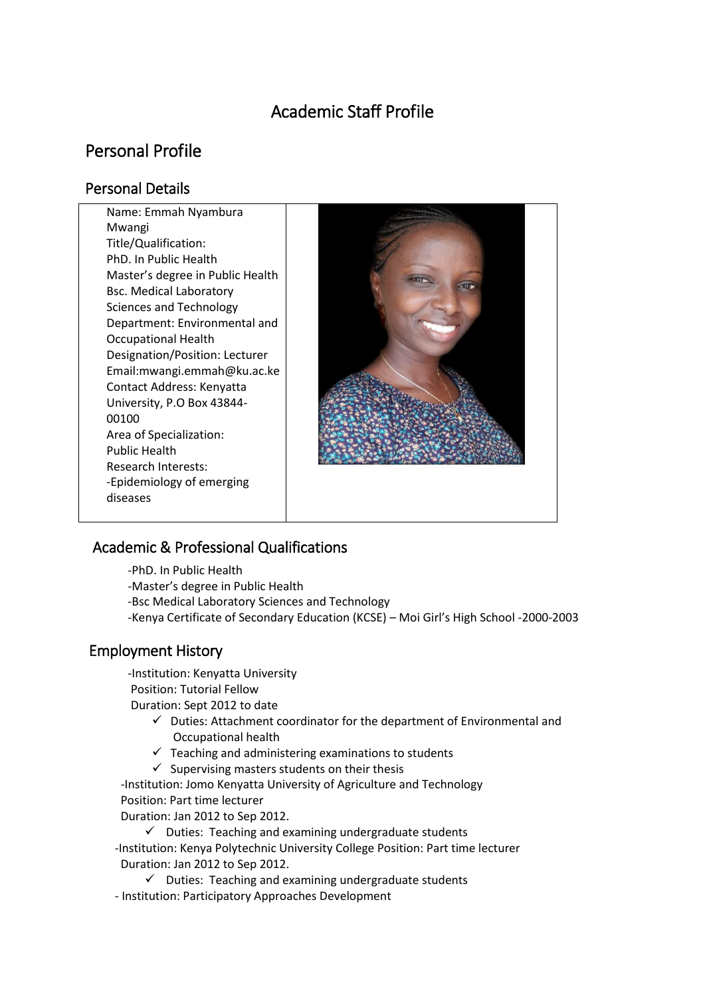# Academic Staff Profile

# Personal Profile

## Personal Details

Name: Emmah Nyambura Mwangi Title/Qualification: PhD. In Public Health Master's degree in Public Health Bsc. Medical Laboratory Sciences and Technology Department: Environmental and Occupational Health Designation/Position: Lecturer Email:mwangi.emmah@ku.ac.ke Contact Address: Kenyatta University, P.O Box 43844- 00100 Area of Specialization: Public Health Research Interests: -Epidemiology of emerging diseases



# Academic & Professional Qualifications

-PhD. In Public Health

-Master's degree in Public Health

-Bsc Medical Laboratory Sciences and Technology

-Kenya Certificate of Secondary Education (KCSE) – Moi Girl's High School -2000-2003

## Employment History

-Institution: Kenyatta University Position: Tutorial Fellow Duration: Sept 2012 to date

- $\checkmark$  Duties: Attachment coordinator for the department of Environmental and Occupational health
- $\checkmark$  Teaching and administering examinations to students
- $\checkmark$  Supervising masters students on their thesis

 -Institution: Jomo Kenyatta University of Agriculture and Technology Position: Part time lecturer

Duration: Jan 2012 to Sep 2012.

 $\checkmark$  Duties: Teaching and examining undergraduate students -Institution: Kenya Polytechnic University College Position: Part time lecturer Duration: Jan 2012 to Sep 2012.

 $\checkmark$  Duties: Teaching and examining undergraduate students - Institution: Participatory Approaches Development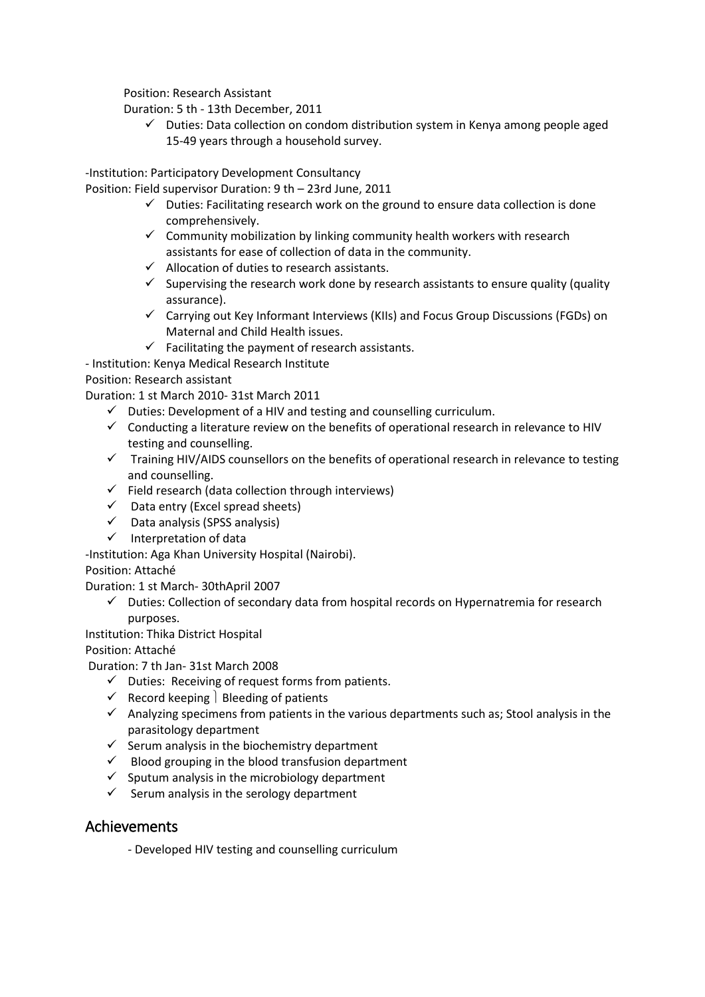Position: Research Assistant

Duration: 5 th - 13th December, 2011

 $\checkmark$  Duties: Data collection on condom distribution system in Kenya among people aged 15-49 years through a household survey.

-Institution: Participatory Development Consultancy

Position: Field supervisor Duration: 9 th – 23rd June, 2011

- $\checkmark$  Duties: Facilitating research work on the ground to ensure data collection is done comprehensively.
- $\checkmark$  Community mobilization by linking community health workers with research assistants for ease of collection of data in the community.
- $\checkmark$  Allocation of duties to research assistants.
- $\checkmark$  Supervising the research work done by research assistants to ensure quality (quality assurance).
- $\checkmark$  Carrying out Key Informant Interviews (KIIs) and Focus Group Discussions (FGDs) on Maternal and Child Health issues.
- $\checkmark$  Facilitating the payment of research assistants.

- Institution: Kenya Medical Research Institute

Position: Research assistant

Duration: 1 st March 2010- 31st March 2011

- $\checkmark$  Duties: Development of a HIV and testing and counselling curriculum.
- $\checkmark$  Conducting a literature review on the benefits of operational research in relevance to HIV testing and counselling.
- $\checkmark$  Training HIV/AIDS counsellors on the benefits of operational research in relevance to testing and counselling.
- $\checkmark$  Field research (data collection through interviews)
- $\checkmark$  Data entry (Excel spread sheets)
- $\checkmark$  Data analysis (SPSS analysis)
- $\checkmark$  Interpretation of data

-Institution: Aga Khan University Hospital (Nairobi).

Position: Attaché

Duration: 1 st March- 30thApril 2007

 $\checkmark$  Duties: Collection of secondary data from hospital records on Hypernatremia for research purposes.

Institution: Thika District Hospital

Position: Attaché

Duration: 7 th Jan- 31st March 2008

- $\checkmark$  Duties: Receiving of request forms from patients.
- $\checkmark$  Record keeping  $\checkmark$  Bleeding of patients
- $\checkmark$  Analyzing specimens from patients in the various departments such as; Stool analysis in the parasitology department
- $\checkmark$  Serum analysis in the biochemistry department
- $\checkmark$  Blood grouping in the blood transfusion department
- $\checkmark$  Sputum analysis in the microbiology department
- $\checkmark$  Serum analysis in the serology department

#### Achievements

- Developed HIV testing and counselling curriculum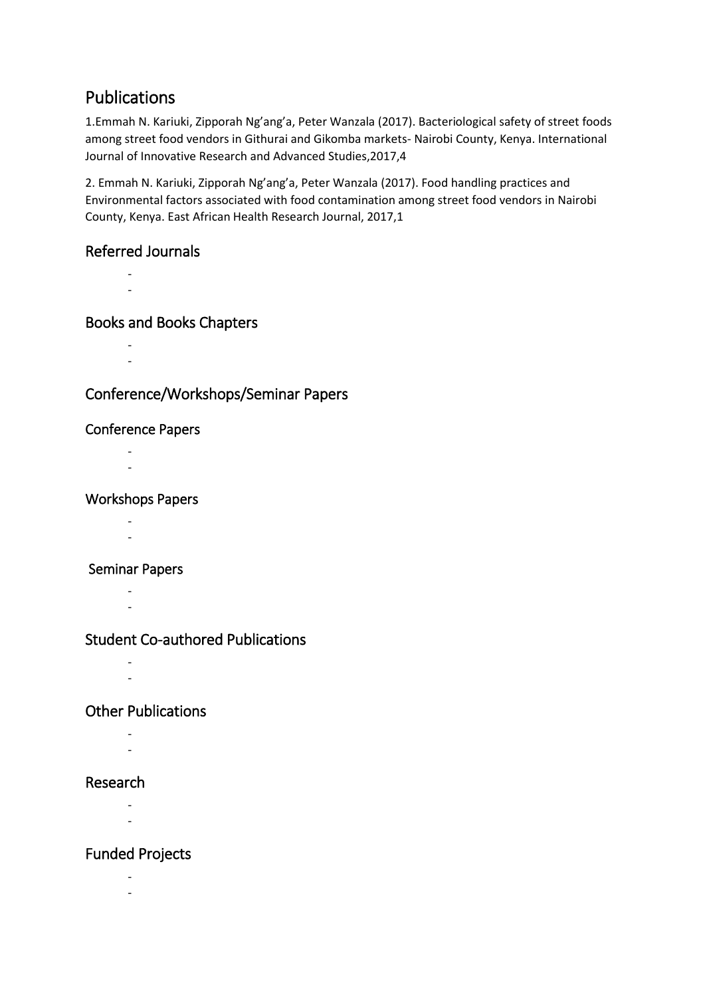# Publications

1.Emmah N. Kariuki, Zipporah Ng'ang'a, Peter Wanzala (2017). Bacteriological safety of street foods among street food vendors in Githurai and Gikomba markets- Nairobi County, Kenya. International Journal of Innovative Research and Advanced Studies,2017,4

2. Emmah N. Kariuki, Zipporah Ng'ang'a, Peter Wanzala (2017). Food handling practices and Environmental factors associated with food contamination among street food vendors in Nairobi County, Kenya. East African Health Research Journal, 2017,1

## Referred Journals

- -

## Books and Books Chapters

- -

## Conference/Workshops/Seminar Papers

## Conference Papers

- -

#### Workshops Papers

- -

#### Seminar Papers

- -

## Student Co-authored Publications

- -

## Other Publications

- -
- -

## Research

- -
- -

# Funded Projects

- -
	-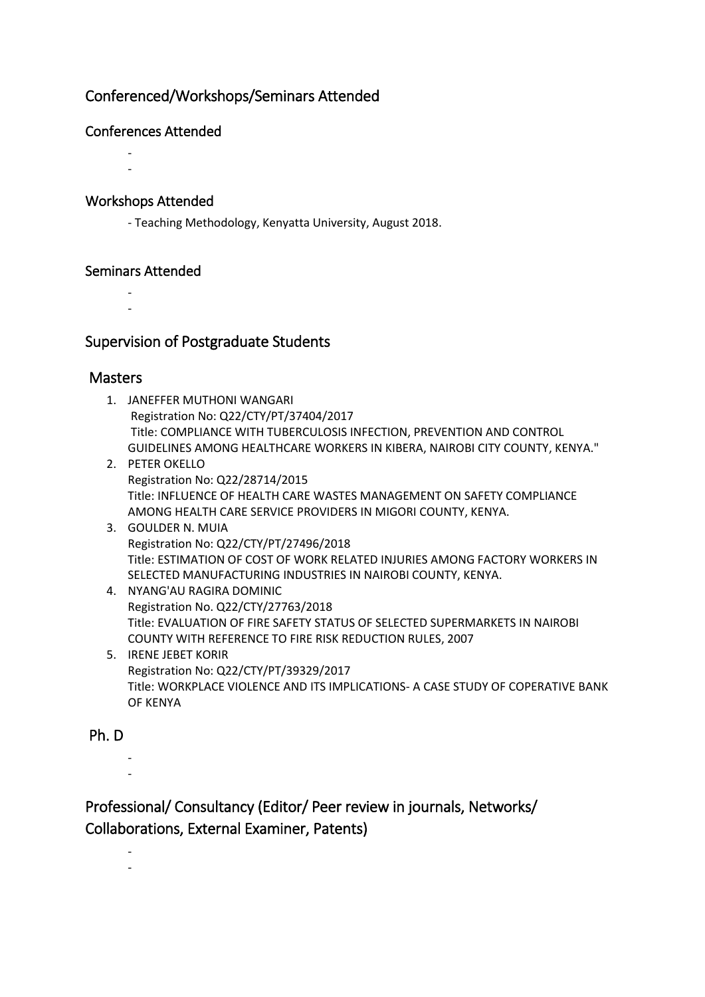# Conferenced/Workshops/Seminars Attended

#### Conferences Attended

- -

#### Workshops Attended

- Teaching Methodology, Kenyatta University, August 2018.

#### Seminars Attended

- -

## Supervision of Postgraduate Students

#### **Masters**

- 1. JANEFFER MUTHONI WANGARI Registration No: Q22/CTY/PT/37404/2017 Title: COMPLIANCE WITH TUBERCULOSIS INFECTION, PREVENTION AND CONTROL GUIDELINES AMONG HEALTHCARE WORKERS IN KIBERA, NAIROBI CITY COUNTY, KENYA." 2. PETER OKELLO
- Registration No: Q22/28714/2015 Title: INFLUENCE OF HEALTH CARE WASTES MANAGEMENT ON SAFETY COMPLIANCE AMONG HEALTH CARE SERVICE PROVIDERS IN MIGORI COUNTY, KENYA.
- 3. GOULDER N. MUIA Registration No: Q22/CTY/PT/27496/2018 Title: ESTIMATION OF COST OF WORK RELATED INJURIES AMONG FACTORY WORKERS IN SELECTED MANUFACTURING INDUSTRIES IN NAIROBI COUNTY, KENYA.
- 4. NYANG'AU RAGIRA DOMINIC Registration No. Q22/CTY/27763/2018 Title: EVALUATION OF FIRE SAFETY STATUS OF SELECTED SUPERMARKETS IN NAIROBI COUNTY WITH REFERENCE TO FIRE RISK REDUCTION RULES, 2007
- 5. IRENE JEBET KORIR Registration No: Q22/CTY/PT/39329/2017 Title: WORKPLACE VIOLENCE AND ITS IMPLICATIONS- A CASE STUDY OF COPERATIVE BANK OF KENYA

## Ph. D

- -

- -

# Professional/ Consultancy (Editor/ Peer review in journals, Networks/ Collaborations, External Examiner, Patents)